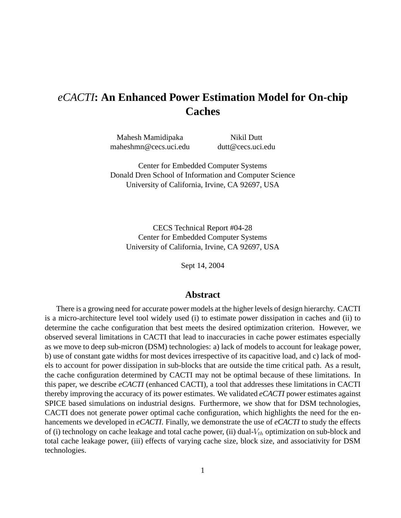# *eCACTI***: An Enhanced Power Estimation Model for On-chip Caches**

Mahesh Mamidipaka Nikil Dutt maheshmn@cecs.uci.edu dutt@cecs.uci.edu

Center for Embedded Computer Systems Donald Dren School of Information and Computer Science University of California, Irvine, CA 92697, USA

CECS Technical Report #04-28 Center for Embedded Computer Systems University of California, Irvine, CA 92697, USA

Sept 14, 2004

## **Abstract**

There is a growing need for accurate power models at the higher levels of design hierarchy. CACTI is a micro-architecture level tool widely used (i) to estimate power dissipation in caches and (ii) to determine the cache configuration that best meets the desired optimization criterion. However, we observed several limitations in CACTI that lead to inaccuracies in cache power estimates especially as we move to deep sub-micron (DSM) technologies: a) lack of models to account for leakage power, b) use of constant gate widths for most devices irrespective of its capacitive load, and c) lack of models to account for power dissipation in sub-blocks that are outside the time critical path. As a result, the cache configuration determined by CACTI may not be optimal because of these limitations. In this paper, we describe *eCACTI* (enhanced CACTI), a tool that addresses these limitations in CACTI thereby improving the accuracy of its power estimates. We validated *eCACTI* power estimates against SPICE based simulations on industrial designs. Furthermore, we show that for DSM technologies, CACTI does not generate power optimal cache configuration, which highlights the need for the enhancements we developed in *eCACTI*. Finally, we demonstrate the use of *eCACTI* to study the effects of (i) technology on cache leakage and total cache power, (ii) dual- $V_{th}$  optimization on sub-block and total cache leakage power, (iii) effects of varying cache size, block size, and associativity for DSM technologies.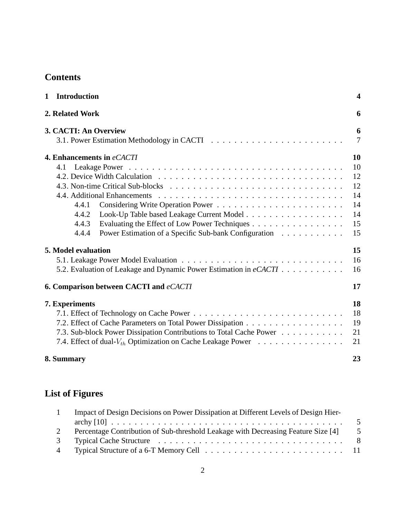# **Contents**

| 2. Related Work                                                           | 6                   |
|---------------------------------------------------------------------------|---------------------|
|                                                                           |                     |
| 3. CACTI: An Overview                                                     | 6<br>$\overline{7}$ |
| 10<br>4. Enhancements in eCACTI                                           |                     |
|                                                                           |                     |
| 10<br>4.1                                                                 |                     |
| 12                                                                        |                     |
| 12                                                                        |                     |
| 14                                                                        |                     |
| 14<br>4.4.1                                                               |                     |
| 14<br>4.4.2<br>Look-Up Table based Leakage Current Model                  |                     |
| 15<br>Evaluating the Effect of Low Power Techniques<br>4.4.3              |                     |
| Power Estimation of a Specific Sub-bank Configuration<br>15<br>4.4.4      |                     |
| 5. Model evaluation<br>15                                                 |                     |
| 16                                                                        |                     |
| 5.2. Evaluation of Leakage and Dynamic Power Estimation in eCACTI<br>16   |                     |
| <b>6. Comparison between CACTI and eCACTI</b><br>17                       |                     |
| 18<br>7. Experiments                                                      |                     |
| 18                                                                        |                     |
| 19                                                                        |                     |
| 21<br>7.3. Sub-block Power Dissipation Contributions to Total Cache Power |                     |
| 7.4. Effect of dual- $V_{th}$ Optimization on Cache Leakage Power<br>21   |                     |
| 8. Summary<br>23                                                          |                     |

# **List of Figures**

| Impact of Design Decisions on Power Dissipation at Different Levels of Design Hier- |     |  |  |
|-------------------------------------------------------------------------------------|-----|--|--|
|                                                                                     | - 5 |  |  |
| Percentage Contribution of Sub-threshold Leakage with Decreasing Feature Size [4]   | -5  |  |  |
|                                                                                     | - 8 |  |  |
|                                                                                     |     |  |  |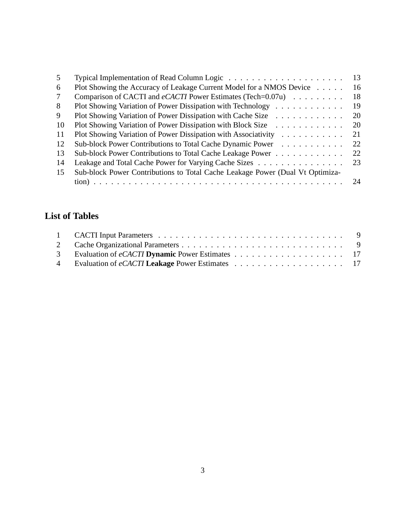| 5  | Typical Implementation of Read Column Logic $\dots \dots \dots \dots \dots \dots \dots \dots$                                                                | 13 |
|----|--------------------------------------------------------------------------------------------------------------------------------------------------------------|----|
| 6  | Plot Showing the Accuracy of Leakage Current Model for a NMOS Device                                                                                         | 16 |
| 7  | Comparison of CACTI and eCACTI Power Estimates (Tech=0.07u)                                                                                                  | 18 |
| 8  | Plot Showing Variation of Power Dissipation with Technology                                                                                                  | 19 |
| 9  | Plot Showing Variation of Power Dissipation with Cache Size                                                                                                  | 20 |
| 10 | Plot Showing Variation of Power Dissipation with Block Size<br>$\mathcal{L}$ , and $\mathcal{L}$ , and $\mathcal{L}$ , and $\mathcal{L}$ , and $\mathcal{L}$ | 20 |
| 11 | Plot Showing Variation of Power Dissipation with Associativity<br>$\mathcal{A}$ . The set of the set of the set of the $\mathcal{A}$                         | 21 |
| 12 | Sub-block Power Contributions to Total Cache Dynamic Power                                                                                                   | 22 |
| 13 | Sub-block Power Contributions to Total Cache Leakage Power                                                                                                   | 22 |
| 14 | Leakage and Total Cache Power for Varying Cache Sizes                                                                                                        | 23 |
| 15 | Sub-block Power Contributions to Total Cache Leakage Power (Dual Vt Optimiza-                                                                                |    |
|    |                                                                                                                                                              |    |

# **List of Tables**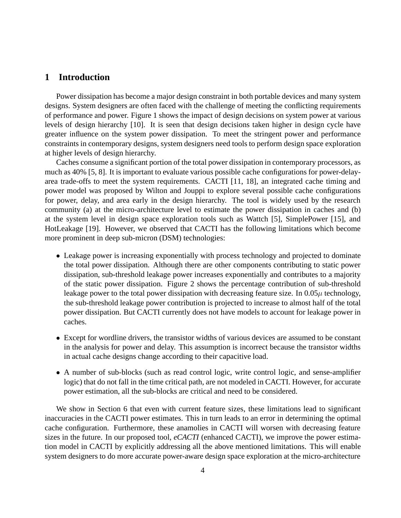# **1 Introduction**

Power dissipation has become a major design constraint in both portable devices and many system designs. System designers are often faced with the challenge of meeting the conflicting requirements of performance and power. Figure 1 shows the impact of design decisions on system power at various levels of design hierarchy [10]. It is seen that design decisions taken higher in design cycle have greater influence on the system power dissipation. To meet the stringent power and performance constraints in contemporary designs, system designers need tools to perform design space exploration at higher levels of design hierarchy.

Caches consume a significant portion of the total power dissipation in contemporary processors, as much as 40% [5, 8]. It is important to evaluate various possible cache configurations for power-delayarea trade-offs to meet the system requirements. CACTI [11, 18], an integrated cache timing and power model was proposed by Wilton and Jouppi to explore several possible cache configurations for power, delay, and area early in the design hierarchy. The tool is widely used by the research community (a) at the micro-architecture level to estimate the power dissipation in caches and (b) at the system level in design space exploration tools such as Wattch [5], SimplePower [15], and HotLeakage [19]. However, we observed that CACTI has the following limitations which become more prominent in deep sub-micron (DSM) technologies:

- Leakage power is increasing exponentially with process technology and projected to dominate the total power dissipation. Although there are other components contributing to static power dissipation, sub-threshold leakage power increases exponentially and contributes to a majority of the static power dissipation. Figure 2 shows the percentage contribution of sub-threshold leakage power to the total power dissipation with decreasing feature size. In  $0.05\mu$  technology, the sub-threshold leakage power contribution is projected to increase to almost half of the total power dissipation. But CACTI currently does not have models to account for leakage power in caches.
- Except for wordline drivers, the transistor widths of various devices are assumed to be constant in the analysis for power and delay. This assumption is incorrect because the transistor widths in actual cache designs change according to their capacitive load.
- A number of sub-blocks (such as read control logic, write control logic, and sense-amplifier logic) that do not fall in the time critical path, are not modeled in CACTI. However, for accurate power estimation, all the sub-blocks are critical and need to be considered.

We show in Section 6 that even with current feature sizes, these limitations lead to significant inaccuracies in the CACTI power estimates. This in turn leads to an error in determining the optimal cache configuration. Furthermore, these anamolies in CACTI will worsen with decreasing feature sizes in the future. In our proposed tool, *eCACTI* (enhanced CACTI), we improve the power estimation model in CACTI by explicitly addressing all the above mentioned limitations. This will enable system designers to do more accurate power-aware design space exploration at the micro-architecture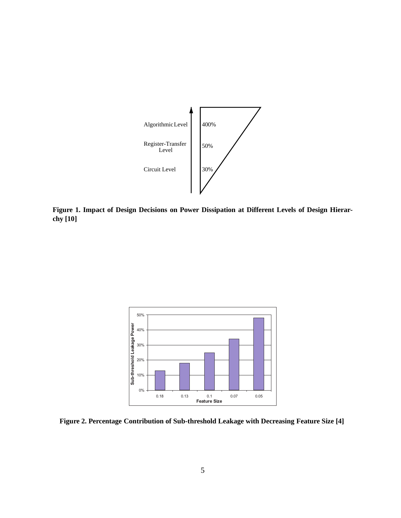

**Figure 1. Impact of Design Decisions on Power Dissipation at Different Levels of Design Hierarchy [10]**



**Figure 2. Percentage Contribution of Sub-threshold Leakage with Decreasing Feature Size [4]**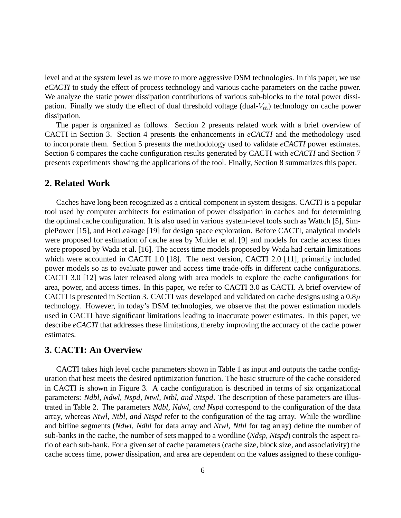level and at the system level as we move to more aggressive DSM technologies. In this paper, we use *eCACTI* to study the effect of process technology and various cache parameters on the cache power. We analyze the static power dissipation contributions of various sub-blocks to the total power dissipation. Finally we study the effect of dual threshold voltage (dual- $V_{th}$ ) technology on cache power dissipation.

The paper is organized as follows. Section 2 presents related work with a brief overview of CACTI in Section 3. Section 4 presents the enhancements in *eCACTI* and the methodology used to incorporate them. Section 5 presents the methodology used to validate *eCACTI* power estimates. Section 6 compares the cache configuration results generated by CACTI with *eCACTI* and Section 7 presents experiments showing the applications of the tool. Finally, Section 8 summarizes this paper.

# **2. Related Work**

Caches have long been recognized as a critical component in system designs. CACTI is a popular tool used by computer architects for estimation of power dissipation in caches and for determining the optimal cache configuration. It is also used in various system-level tools such as Wattch [5], SimplePower [15], and HotLeakage [19] for design space exploration. Before CACTI, analytical models were proposed for estimation of cache area by Mulder et al. [9] and models for cache access times were proposed by Wada et al. [16]. The access time models proposed by Wada had certain limitations which were accounted in CACTI 1.0 [18]. The next version, CACTI 2.0 [11], primarily included power models so as to evaluate power and access time trade-offs in different cache configurations. CACTI 3.0 [12] was later released along with area models to explore the cache configurations for area, power, and access times. In this paper, we refer to CACTI 3.0 as CACTI. A brief overview of CACTI is presented in Section 3. CACTI was developed and validated on cache designs using a  $0.8\mu$ technology. However, in today's DSM technologies, we observe that the power estimation models used in CACTI have significant limitations leading to inaccurate power estimates. In this paper, we describe *eCACTI* that addresses these limitations, thereby improving the accuracy of the cache power estimates.

# **3. CACTI: An Overview**

CACTI takes high level cache parameters shown in Table 1 as input and outputs the cache configuration that best meets the desired optimization function. The basic structure of the cache considered in CACTI is shown in Figure 3. A cache configuration is described in terms of six organizational parameters: *Ndbl, Ndwl, Nspd, Ntwl, Ntbl, and Ntspd*. The description of these parameters are illustrated in Table 2. The parameters *Ndbl, Ndwl, and Nspd* correspond to the configuration of the data array, whereas *Ntwl, Ntbl, and Ntspd* refer to the configuration of the tag array. While the wordline and bitline segments (*Ndwl, Ndbl* for data array and *Ntwl, Ntbl* for tag array) define the number of sub-banks in the cache, the number of sets mapped to a wordline (*Ndsp, Ntspd*) controls the aspect ratio of each sub-bank. For a given set of cache parameters (cache size, block size, and associativity) the cache access time, power dissipation, and area are dependent on the values assigned to these configu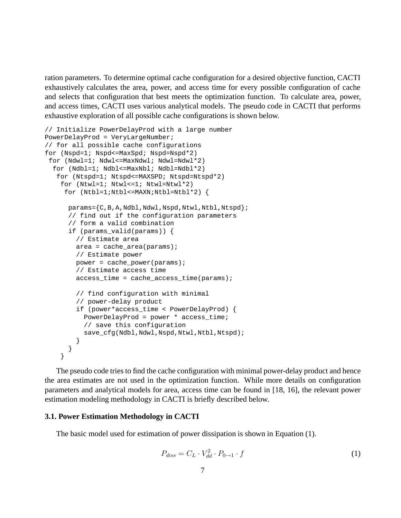ration parameters. To determine optimal cache configuration for a desired objective function, CACTI exhaustively calculates the area, power, and access time for every possible configuration of cache and selects that configuration that best meets the optimization function. To calculate area, power, and access times, CACTI uses various analytical models. The pseudo code in CACTI that performs exhaustive exploration of all possible cache configurations is shown below.

```
// Initialize PowerDelayProd with a large number
PowerDelayProd = VeryLargeNumber;
// for all possible cache configurations
for (Nspd=1; Nspd<=MaxSpd; Nspd=Nspd*2)
 for (Ndwl=1; Ndwl<=MaxNdwl; Ndwl=Ndwl*2)
  for (Ndbl=1; Ndbl<=MaxNbl; Ndbl=Ndbl*2)
   for (Ntspd=1; Ntspd<=MAXSPD; Ntspd=Ntspd*2)
    for (Ntw1=1; Ntw1<=1; Ntw1=Ntw1*2)for (Ntbl=1;Ntbl<=MAXN;Ntbl=Ntbl*2) {
      params={C,B,A,Ndbl,Ndwl,Nspd,Ntwl,Ntbl,Ntspd};// find out if the configuration parameters
      // form a valid combination
      if (params_valid(params)) {
        // Estimate area
        area = cache area(params);// Estimate power
        power = cache power(params);
        // Estimate access time
        access time = cache access time(params);
        // find configuration with minimal
        // power-delay product
        if (power*access_time < PowerDelayProd) {
          PowerDelayProd = power * access_time;
          // save this configuration
          save_cfg(Ndbl,Ndwl,Nspd,Ntwl,Ntbl,Ntspd);
        }
      }
    }
```
The pseudo code tries to find the cache configuration with minimal power-delay product and hence the area estimates are not used in the optimization function. While more details on configuration parameters and analytical models for area, access time can be found in [18, 16], the relevant power estimation modeling methodology in CACTI is briefly described below.

#### **3.1. Power Estimation Methodology in CACTI**

The basic model used for estimation of power dissipation is shown in Equation (1).

$$
P_{diss} = C_L \cdot V_{dd}^2 \cdot P_{0 \to 1} \cdot f \tag{1}
$$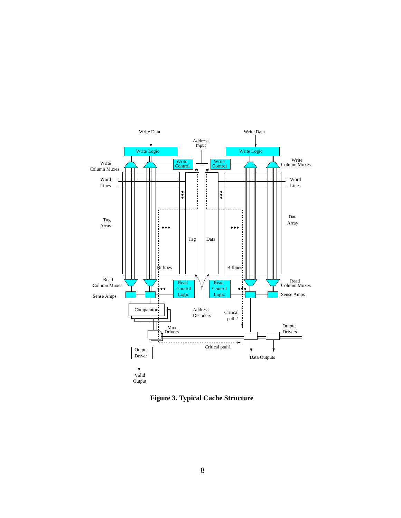

**Figure 3. Typical Cache Structure**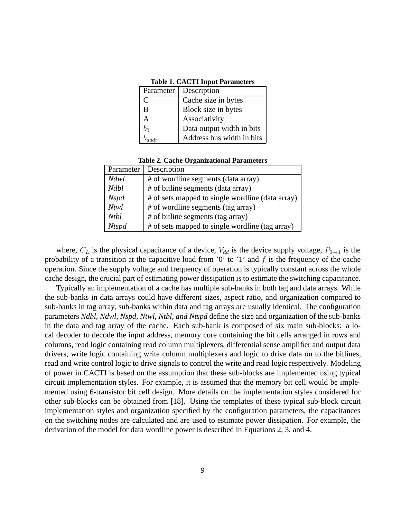| Description<br>Parameter |       |                           |
|--------------------------|-------|---------------------------|
|                          | C     | Cache size in bytes       |
|                          | B     | Block size in bytes       |
|                          | A     | Associativity             |
|                          | $b_0$ | Data output width in bits |
|                          |       | Address bus width in bits |

**Table 1. CACTI Input Parameters**

| Parameter    | Description                                      |  |
|--------------|--------------------------------------------------|--|
| <i>Ndwl</i>  | # of wordline segments (data array)              |  |
| <b>Ndbl</b>  | # of bitline segments (data array)               |  |
| <b>Nspd</b>  | # of sets mapped to single wordline (data array) |  |
| <b>Ntwl</b>  | # of wordline segments (tag array)               |  |
| <b>Ntbl</b>  | # of bitline segments (tag array)                |  |
| <b>Ntspd</b> | # of sets mapped to single wordline (tag array)  |  |

where,  $C_L$  is the physical capacitance of a device,  $V_{dd}$  is the device supply voltage,  $P_{0\rightarrow 1}$  is the probability of a transition at the capacitive load from '0' to '1' and  $f$  is the frequency of the cache operation. Since the supply voltage and frequency of operation is typically constant across the whole cache design, the crucial part of estimating power dissipation is to estimate the switching capacitance.

Typically an implementation of a cache has multiple sub-banks in both tag and data arrays. While the sub-banks in data arrays could have different sizes, aspect ratio, and organization compared to sub-banks in tag array, sub-banks within data and tag arrays are usually identical. The configuration parameters *Ndbl, Ndwl, Nspd, Ntwl, Ntbl, and Ntspd* define the size and organization of the sub-banks in the data and tag array of the cache. Each sub-bank is composed of six main sub-blocks: a local decoder to decode the input address, memory core containing the bit cells arranged in rows and columns, read logic containing read column multiplexers, differential sense amplifier and output data drivers, write logic containing write column multiplexers and logic to drive data on to the bitlines, read and write control logic to drive signals to control the write and read logic respectively. Modeling of power in CACTI is based on the assumption that these sub-blocks are implemented using typical circuit implementation styles. For example, it is assumed that the memory bit cell would be implemented using 6-transistor bit cell design. More details on the implementation styles considered for other sub-blocks can be obtained from [18]. Using the templates of these typical sub-block circuit implementation styles and organization specified by the configuration parameters, the capacitances on the switching nodes are calculated and are used to estimate power dissipation. For example, the derivation of the model for data wordline power is described in Equations 2, 3, and 4.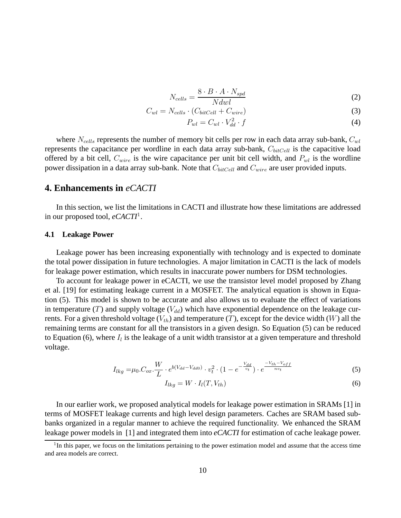$$
N_{cells} = \frac{8 \cdot B \cdot A \cdot N_{spd}}{N dwl} \tag{2}
$$

$$
C_{wl} = N_{cells} \cdot (C_{bitCell} + C_{wire}) \tag{3}
$$

$$
P_{wl} = C_{wl} \cdot V_{dd}^2 \cdot f \tag{4}
$$

where  $N_{cells}$  represents the number of memory bit cells per row in each data array sub-bank,  $C_{wl}$ represents the capacitance per wordline in each data array sub-bank,  $C_{bitCell}$  is the capacitive load offered by a bit cell,  $C_{wire}$  is the wire capacitance per unit bit cell width, and  $P_{wl}$  is the wordline power dissipation in a data array sub-bank. Note that  $C_{bitCell}$  and  $C_{wire}$  are user provided inputs.

## **4. Enhancements in** *eCACTI*

In this section, we list the limitations in CACTI and illustrate how these limitations are addressed in our proposed tool, *eCACTI*<sup>1</sup>.

#### **4.1 Leakage Power**

Leakage power has been increasing exponentially with technology and is expected to dominate the total power dissipation in future technologies. A major limitation in CACTI is the lack of models for leakage power estimation, which results in inaccurate power numbers for DSM technologies.

To account for leakage power in eCACTI, we use the transistor level model proposed by Zhang et al. [19] for estimating leakage current in a MOSFET. The analytical equation is shown in Equation (5). This model is shown to be accurate and also allows us to evaluate the effect of variations in temperature (T) and supply voltage ( $V_{dd}$ ) which have exponential dependence on the leakage currents. For a given threshold voltage  $(V_{th})$  and temperature  $(T)$ , except for the device width  $(W)$  all the remaining terms are constant for all the transistors in a given design. So Equation (5) can be reduced to Equation (6), where  $I_l$  is the leakage of a unit width transistor at a given temperature and threshold voltage.

$$
I_{lkg} = \mu_0 \cdot C_{ox} \cdot \frac{W}{L} \cdot e^{b(V_{dd} - V_{dd0})} \cdot v_t^2 \cdot (1 - e^{-\frac{V_{dd}}{v_t}}) \cdot e^{\frac{-V_{th} - V_{off}}{nv_t}}
$$
(5)

$$
I_{lkg} = W \cdot I_l(T, V_{th}) \tag{6}
$$

In our earlier work, we proposed analytical models for leakage power estimation in SRAMs [1] in terms of MOSFET leakage currents and high level design parameters. Caches are SRAM based subbanks organized in a regular manner to achieve the required functionality. We enhanced the SRAM leakage power models in [1] and integrated them into *eCACTI* for estimation of cache leakage power.

<sup>&</sup>lt;sup>1</sup>In this paper, we focus on the limitations pertaining to the power estimation model and assume that the access time and area models are correct.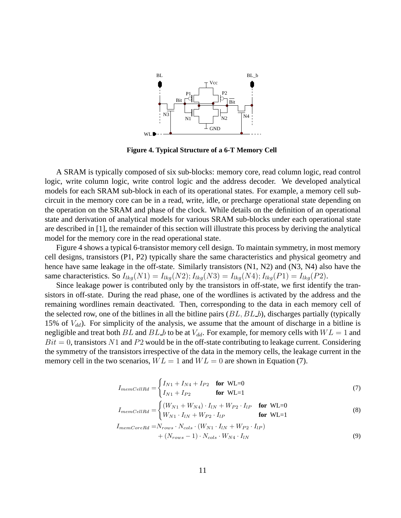

**Figure 4. Typical Structure of a 6-T Memory Cell**

A SRAM is typically composed of six sub-blocks: memory core, read column logic, read control logic, write column logic, write control logic and the address decoder. We developed analytical models for each SRAM sub-block in each of its operational states. For example, a memory cell subcircuit in the memory core can be in a read, write, idle, or precharge operational state depending on the operation on the SRAM and phase of the clock. While details on the definition of an operational state and derivation of analytical models for various SRAM sub-blocks under each operational state are described in [1], the remainder of this section will illustrate this process by deriving the analytical model for the memory core in the read operational state.

Figure 4 shows a typical 6-transistor memory cell design. To maintain symmetry, in most memory cell designs, transistors (P1, P2) typically share the same characteristics and physical geometry and hence have same leakage in the off-state. Similarly transistors (N1, N2) and (N3, N4) also have the same characteristics. So  $I_{lkq}(N1) = I_{lkq}(N2)$ ;  $I_{lkq}(N3) = I_{lkq}(N4)$ ;  $I_{lkq}(P1) = I_{lkq}(P2)$ .

Since leakage power is contributed only by the transistors in off-state, we first identify the transistors in off-state. During the read phase, one of the wordlines is activated by the address and the remaining wordlines remain deactivated. Then, corresponding to the data in each memory cell of the selected row, one of the bitlines in all the bitline pairs  $(BL, BL_b)$ , discharges partially (typically 15% of  $V_{dd}$ ). For simplicity of the analysis, we assume that the amount of discharge in a bitline is negligible and treat both BL and BL b to be at  $V_{dd}$ . For example, for memory cells with  $WL = 1$  and  $Bit = 0$ , transistors N1 and P2 would be in the off-state contributing to leakage current. Considering the symmetry of the transistors irrespective of the data in the memory cells, the leakage current in the memory cell in the two scenarios,  $WL = 1$  and  $WL = 0$  are shown in Equation (7).

$$
I_{memCellRd} = \begin{cases} I_{N1} + I_{N4} + I_{P2} & \text{for WL=0} \\ I_{N1} + I_{P2} & \text{for WL=1} \end{cases}
$$
(7)

$$
I_{memCellRd} = \begin{cases} (W_{N1} + W_{N4}) \cdot I_{lN} + W_{P2} \cdot I_{lP} & \text{for WL=0} \\ W_{N1} \cdot I_{lN} + W_{P2} \cdot I_{lP} & \text{for WL=1} \end{cases}
$$
 (8)

$$
I_{memCoreRd} = N_{rows} \cdot N_{cols} \cdot (W_{N1} \cdot I_{lN} + W_{P2} \cdot I_{lP})
$$
  
+ 
$$
(N_{rows} - 1) \cdot N_{cols} \cdot W_{N4} \cdot I_{lN}
$$
 (9)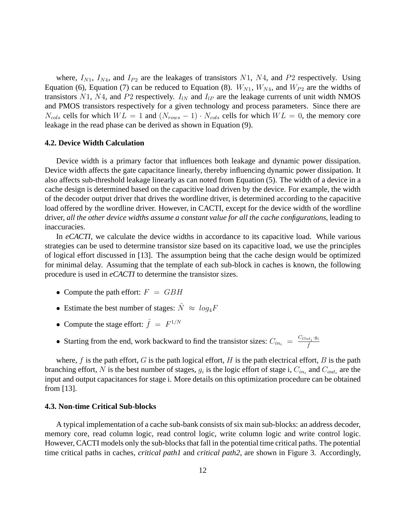where,  $I_{N1}$ ,  $I_{N4}$ , and  $I_{P2}$  are the leakages of transistors N1, N4, and P2 respectively. Using Equation (6), Equation (7) can be reduced to Equation (8).  $W_{N1}$ ,  $W_{N4}$ , and  $W_{P2}$  are the widths of transistors N1, N4, and P2 respectively.  $I_{lN}$  and  $I_{lP}$  are the leakage currents of unit width NMOS and PMOS transistors respectively for a given technology and process parameters. Since there are  $N_{\text{cols}}$  cells for which  $WL = 1$  and  $(N_{rows} - 1) \cdot N_{\text{cols}}$  cells for which  $WL = 0$ , the memory core leakage in the read phase can be derived as shown in Equation (9).

#### **4.2. Device Width Calculation**

Device width is a primary factor that influences both leakage and dynamic power dissipation. Device width affects the gate capacitance linearly, thereby influencing dynamic power dissipation. It also affects sub-threshold leakage linearly as can noted from Equation (5). The width of a device in a cache design is determined based on the capacitive load driven by the device. For example, the width of the decoder output driver that drives the wordline driver, is determined according to the capacitive load offered by the wordline driver. However, in CACTI, except for the device width of the wordline driver, *all the other device widths assume a constant value for all the cache configurations*, leading to inaccuracies.

In *eCACTI*, we calculate the device widths in accordance to its capacitive load. While various strategies can be used to determine transistor size based on its capacitive load, we use the principles of logical effort discussed in [13]. The assumption being that the cache design would be optimized for minimal delay. Assuming that the template of each sub-block in caches is known, the following procedure is used in *eCACTI* to determine the transistor sizes.

- Compute the path effort:  $F = GBH$
- Estimate the best number of stages:  $\hat{N} \approx log_4 F$
- Compute the stage effort:  $\hat{f} = F^{1/N}$
- Starting from the end, work backward to find the transistor sizes:  $C_{in_i} = \frac{C_{Out_i} \cdot g_i}{\hat{f}}$

where, f is the path effort, G is the path logical effort, H is the path electrical effort, B is the path branching effort, N is the best number of stages,  $g_i$  is the logic effort of stage i,  $C_{in_i}$  and  $C_{out_i}$  are the input and output capacitances for stage i. More details on this optimization procedure can be obtained from [13].

#### **4.3. Non-time Critical Sub-blocks**

A typical implementation of a cache sub-bank consists of six main sub-blocks: an address decoder, memory core, read column logic, read control logic, write column logic and write control logic. However, CACTI models only the sub-blocks that fall in the potential time critical paths. The potential time critical paths in caches, *critical path1* and *critical path2*, are shown in Figure 3. Accordingly,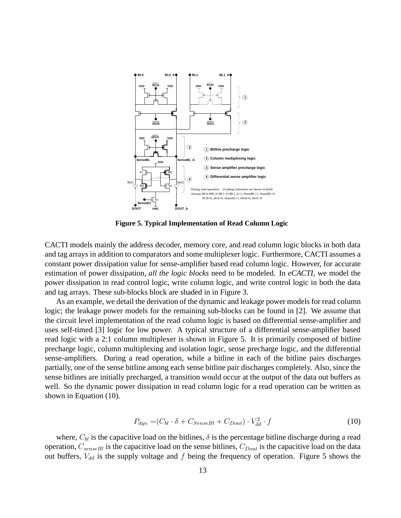

**Figure 5. Typical Implementation of Read Column Logic**

CACTI models mainly the address decoder, memory core, and read column logic blocks in both data and tag arrays in addition to comparators and some multiplexer logic. Furthermore, CACTI assumes a constant power dissipation value for sense-amplifier based read column logic. However, for accurate estimation of power dissipation, *all the logic blocks* need to be modeled. In *eCACTI*, we model the power dissipation in read control logic, write column logic, and write control logic in both the data and tag arrays. These sub-blocks block are shaded in in Figure 3.

As an example, we detail the derivation of the dynamic and leakage power models for read column logic; the leakage power models for the remaining sub-blocks can be found in [2]. We assume that the circuit level implementation of the read column logic is based on differential sense-amplifier and uses self-timed [3] logic for low power. A typical structure of a differential sense-amplifier based read logic with a 2:1 column multiplexer is shown in Figure 5. It is primarily composed of bitline precharge logic, column multiplexing and isolation logic, sense precharge logic, and the differential sense-amplifiers. During a read operation, while a bitline in each of the bitline pairs discharges partially, one of the sense bitline among each sense bitline pair discharges completely. Also, since the sense bitlines are initially precharged, a transition would occur at the output of the data out buffers as well. So the dynamic power dissipation in read column logic for a read operation can be written as shown in Equation (10).

$$
P_{dyn} = (C_{bl} \cdot \delta + C_{SenseBl} + C_{Dout}) \cdot V_{dd}^2 \cdot f \tag{10}
$$

where,  $C_{bl}$  is the capacitive load on the bitlines,  $\delta$  is the percentage bitline discharge during a read operation,  $C_{senseBl}$  is the capacitive load on the sense bitlines,  $C_{Dout}$  is the capacitive load on the data out buffers,  $V_{dd}$  is the supply voltage and f being the frequency of operation. Figure 5 shows the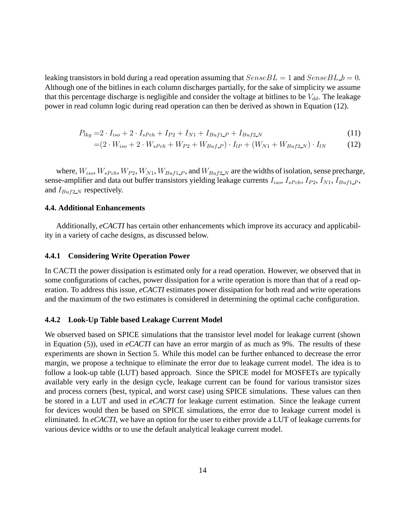leaking transistors in bold during a read operation assuming that  $SenseBL = 1$  and  $SenseBL = 0$ . Although one of the bitlines in each column discharges partially, for the sake of simplicity we assume that this percentage discharge is negligible and consider the voltage at bitlines to be  $V_{dd}$ . The leakage power in read column logic during read operation can then be derived as shown in Equation (12).

$$
P_{lkg} = 2 \cdot I_{iso} + 2 \cdot I_{sPch} + I_{P2} + I_{N1} + I_{Buf1} + I_{Buf2} + I_{Buf2} \tag{11}
$$

$$
= (2 \cdot W_{iso} + 2 \cdot W_{sPch} + W_{P2} + W_{Buf\_P}) \cdot I_{lP} + (W_{N1} + W_{Buf2\_N}) \cdot I_{lN}
$$
(12)

where,  $W_{iso}$ ,  $W_{sPch}$ ,  $W_{P2}$ ,  $W_{N1}$ ,  $W_{Buff1}$ , and  $W_{Buff2}$  are the widths of isolation, sense precharge, sense-amplifier and data out buffer transistors yielding leakage currents  $I_{iso}$ ,  $I_{sPch}$ ,  $I_{P2}$ ,  $I_{N1}$ ,  $I_{Buf1-P}$ , and  $I_{Buf2,N}$  respectively.

#### **4.4. Additional Enhancements**

Additionally, *eCACTI* has certain other enhancements which improve its accuracy and applicability in a variety of cache designs, as discussed below.

#### **4.4.1 Considering Write Operation Power**

In CACTI the power dissipation is estimated only for a read operation. However, we observed that in some configurations of caches, power dissipation for a write operation is more than that of a read operation. To address this issue, *eCACTI* estimates power dissipation for both read and write operations and the maximum of the two estimates is considered in determining the optimal cache configuration.

#### **4.4.2 Look-Up Table based Leakage Current Model**

We observed based on SPICE simulations that the transistor level model for leakage current (shown in Equation (5)), used in *eCACTI* can have an error margin of as much as 9%. The results of these experiments are shown in Section 5. While this model can be further enhanced to decrease the error margin, we propose a technique to eliminate the error due to leakage current model. The idea is to follow a look-up table (LUT) based approach. Since the SPICE model for MOSFETs are typically available very early in the design cycle, leakage current can be found for various transistor sizes and process corners (best, typical, and worst case) using SPICE simulations. These values can then be stored in a LUT and used in *eCACTI* for leakage current estimation. Since the leakage current for devices would then be based on SPICE simulations, the error due to leakage current model is eliminated. In *eCACTI*, we have an option for the user to either provide a LUT of leakage currents for various device widths or to use the default analytical leakage current model.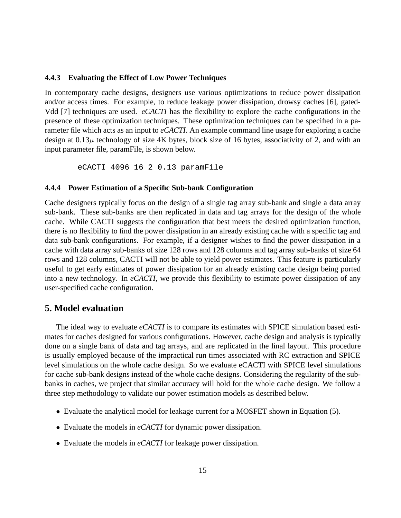#### **4.4.3 Evaluating the Effect of Low Power Techniques**

In contemporary cache designs, designers use various optimizations to reduce power dissipation and/or access times. For example, to reduce leakage power dissipation, drowsy caches [6], gated-Vdd [7] techniques are used. *eCACTI* has the flexibility to explore the cache configurations in the presence of these optimization techniques. These optimization techniques can be specified in a parameter file which acts as an input to *eCACTI*. An example command line usage for exploring a cache design at  $0.13\mu$  technology of size 4K bytes, block size of 16 bytes, associativity of 2, and with an input parameter file, paramFile, is shown below.

eCACTI 4096 16 2 0.13 paramFile

#### **4.4.4 Power Estimation of a Specific Sub-bank Configuration**

Cache designers typically focus on the design of a single tag array sub-bank and single a data array sub-bank. These sub-banks are then replicated in data and tag arrays for the design of the whole cache. While CACTI suggests the configuration that best meets the desired optimization function, there is no flexibility to find the power dissipation in an already existing cache with a specific tag and data sub-bank configurations. For example, if a designer wishes to find the power dissipation in a cache with data array sub-banks of size 128 rows and 128 columns and tag array sub-banks of size 64 rows and 128 columns, CACTI will not be able to yield power estimates. This feature is particularly useful to get early estimates of power dissipation for an already existing cache design being ported into a new technology. In *eCACTI*, we provide this flexibility to estimate power dissipation of any user-specified cache configuration.

## **5. Model evaluation**

The ideal way to evaluate *eCACTI* is to compare its estimates with SPICE simulation based estimates for caches designed for various configurations. However, cache design and analysis is typically done on a single bank of data and tag arrays, and are replicated in the final layout. This procedure is usually employed because of the impractical run times associated with RC extraction and SPICE level simulations on the whole cache design. So we evaluate eCACTI with SPICE level simulations for cache sub-bank designs instead of the whole cache designs. Considering the regularity of the subbanks in caches, we project that similar accuracy will hold for the whole cache design. We follow a three step methodology to validate our power estimation models as described below.

- Evaluate the analytical model for leakage current for a MOSFET shown in Equation (5).
- Evaluate the models in *eCACTI* for dynamic power dissipation.
- Evaluate the models in *eCACTI* for leakage power dissipation.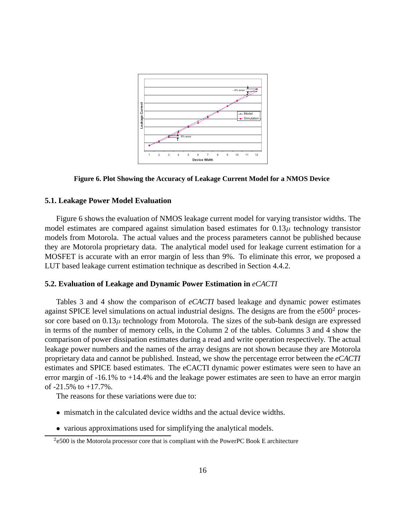

**Figure 6. Plot Showing the Accuracy of Leakage Current Model for a NMOS Device**

#### **5.1. Leakage Power Model Evaluation**

Figure 6 shows the evaluation of NMOS leakage current model for varying transistor widths. The model estimates are compared against simulation based estimates for  $0.13\mu$  technology transistor models from Motorola. The actual values and the process parameters cannot be published because they are Motorola proprietary data. The analytical model used for leakage current estimation for a MOSFET is accurate with an error margin of less than 9%. To eliminate this error, we proposed a LUT based leakage current estimation technique as described in Section 4.4.2.

#### **5.2. Evaluation of Leakage and Dynamic Power Estimation in** *eCACTI*

Tables 3 and 4 show the comparison of *eCACTI* based leakage and dynamic power estimates against SPICE level simulations on actual industrial designs. The designs are from the  $e500<sup>2</sup>$  processor core based on  $0.13\mu$  technology from Motorola. The sizes of the sub-bank design are expressed in terms of the number of memory cells, in the Column 2 of the tables. Columns 3 and 4 show the comparison of power dissipation estimates during a read and write operation respectively. The actual leakage power numbers and the names of the array designs are not shown because they are Motorola proprietary data and cannot be published. Instead, we show the percentage error between the *eCACTI* estimates and SPICE based estimates. The eCACTI dynamic power estimates were seen to have an error margin of -16.1% to +14.4% and the leakage power estimates are seen to have an error margin of  $-21.5\%$  to  $+17.7\%$ .

The reasons for these variations were due to:

- mismatch in the calculated device widths and the actual device widths.
- various approximations used for simplifying the analytical models.

<sup>2</sup>e500 is the Motorola processor core that is compliant with the PowerPC Book E architecture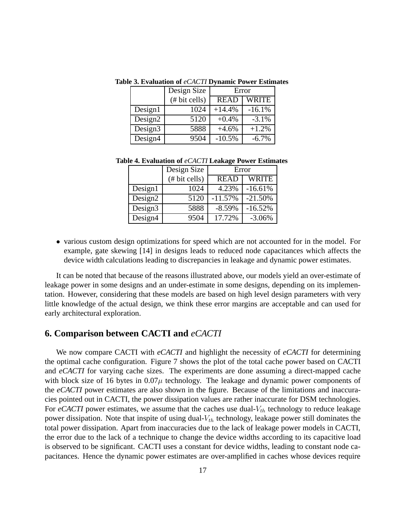|                     | Design Size   | Error       |          |
|---------------------|---------------|-------------|----------|
|                     | (# bit cells) | <b>READ</b> | WRITE    |
| Design1             | 1024          | $+14.4%$    | $-16.1%$ |
| Design <sub>2</sub> | 5120          | $+0.4%$     | $-3.1%$  |
| Design <sub>3</sub> | 5888          | $+4.6%$     | $+1.2%$  |
| Design4             | 9504          | $-10.5%$    | $-6.7\%$ |

**Table 3. Evaluation of** *eCACTI* **Dynamic Power Estimates**

**Table 4. Evaluation of** *eCACTI* **Leakage Power Estimates**

|                     | Design Size  | Error       |              |
|---------------------|--------------|-------------|--------------|
|                     | # bit cells) | <b>READ</b> | <b>WRITE</b> |
| Design1             | 1024         | 4.23%       | $-16.61%$    |
| Design <sub>2</sub> | 5120         | $-11.57%$   | $-21.50%$    |
| Design <sub>3</sub> | 5888         | $-8.59%$    | $-16.52%$    |
| Design4             | 9504         | 17.72%      | $-3.06%$     |

• various custom design optimizations for speed which are not accounted for in the model. For example, gate skewing [14] in designs leads to reduced node capacitances which affects the device width calculations leading to discrepancies in leakage and dynamic power estimates.

It can be noted that because of the reasons illustrated above, our models yield an over-estimate of leakage power in some designs and an under-estimate in some designs, depending on its implementation. However, considering that these models are based on high level design parameters with very little knowledge of the actual design, we think these error margins are acceptable and can used for early architectural exploration.

# **6. Comparison between CACTI and** *eCACTI*

We now compare CACTI with *eCACTI* and highlight the necessity of *eCACTI* for determining the optimal cache configuration. Figure 7 shows the plot of the total cache power based on CACTI and *eCACTI* for varying cache sizes. The experiments are done assuming a direct-mapped cache with block size of 16 bytes in  $0.07\mu$  technology. The leakage and dynamic power components of the *eCACTI* power estimates are also shown in the figure. Because of the limitations and inaccuracies pointed out in CACTI, the power dissipation values are rather inaccurate for DSM technologies. For  $e$ CACTI power estimates, we assume that the caches use dual- $V_{th}$  technology to reduce leakage power dissipation. Note that inspite of using dual- $V_{th}$  technology, leakage power still dominates the total power dissipation. Apart from inaccuracies due to the lack of leakage power models in CACTI, the error due to the lack of a technique to change the device widths according to its capacitive load is observed to be significant. CACTI uses a constant for device widths, leading to constant node capacitances. Hence the dynamic power estimates are over-amplified in caches whose devices require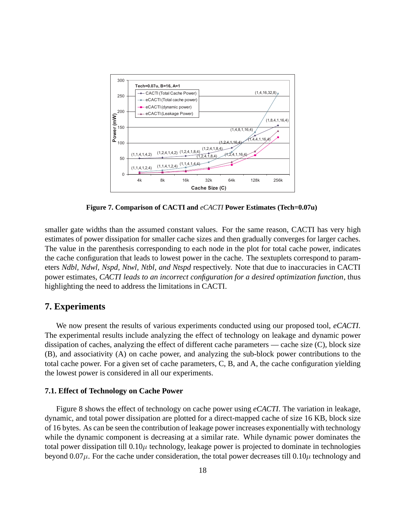

**Figure 7. Comparison of CACTI and** *eCACTI* **Power Estimates (Tech=0.07u)**

smaller gate widths than the assumed constant values. For the same reason, CACTI has very high estimates of power dissipation for smaller cache sizes and then gradually converges for larger caches. The value in the parenthesis corresponding to each node in the plot for total cache power, indicates the cache configuration that leads to lowest power in the cache. The sextuplets correspond to parameters *Ndbl, Ndwl, Nspd, Ntwl, Ntbl, and Ntspd* respectively. Note that due to inaccuracies in CACTI power estimates, *CACTI leads to an incorrect configuration for a desired optimization function*, thus highlighting the need to address the limitations in CACTI.

# **7. Experiments**

We now present the results of various experiments conducted using our proposed tool, *eCACTI*. The experimental results include analyzing the effect of technology on leakage and dynamic power dissipation of caches, analyzing the effect of different cache parameters — cache size (C), block size (B), and associativity (A) on cache power, and analyzing the sub-block power contributions to the total cache power. For a given set of cache parameters, C, B, and A, the cache configuration yielding the lowest power is considered in all our experiments.

#### **7.1. Effect of Technology on Cache Power**

Figure 8 shows the effect of technology on cache power using *eCACTI*. The variation in leakage, dynamic, and total power dissipation are plotted for a direct-mapped cache of size 16 KB, block size of 16 bytes. As can be seen the contribution of leakage power increases exponentially with technology while the dynamic component is decreasing at a similar rate. While dynamic power dominates the total power dissipation till  $0.10\mu$  technology, leakage power is projected to dominate in technologies beyond  $0.07\mu$ . For the cache under consideration, the total power decreases till  $0.10\mu$  technology and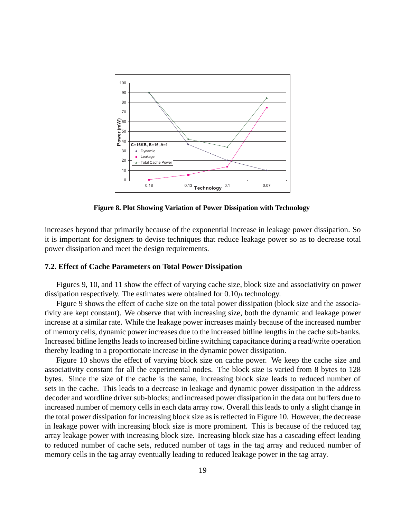

**Figure 8. Plot Showing Variation of Power Dissipation with Technology**

increases beyond that primarily because of the exponential increase in leakage power dissipation. So it is important for designers to devise techniques that reduce leakage power so as to decrease total power dissipation and meet the design requirements.

#### **7.2. Effect of Cache Parameters on Total Power Dissipation**

Figures 9, 10, and 11 show the effect of varying cache size, block size and associativity on power dissipation respectively. The estimates were obtained for  $0.10\mu$  technology.

Figure 9 shows the effect of cache size on the total power dissipation (block size and the associativity are kept constant). We observe that with increasing size, both the dynamic and leakage power increase at a similar rate. While the leakage power increases mainly because of the increased number of memory cells, dynamic power increases due to the increased bitline lengths in the cache sub-banks. Increased bitline lengths leads to increased bitline switching capacitance during a read/write operation thereby leading to a proportionate increase in the dynamic power dissipation.

Figure 10 shows the effect of varying block size on cache power. We keep the cache size and associativity constant for all the experimental nodes. The block size is varied from 8 bytes to 128 bytes. Since the size of the cache is the same, increasing block size leads to reduced number of sets in the cache. This leads to a decrease in leakage and dynamic power dissipation in the address decoder and wordline driver sub-blocks; and increased power dissipation in the data out buffers due to increased number of memory cells in each data array row. Overall this leads to only a slight change in the total power dissipation for increasing block size as is reflected in Figure 10. However, the decrease in leakage power with increasing block size is more prominent. This is because of the reduced tag array leakage power with increasing block size. Increasing block size has a cascading effect leading to reduced number of cache sets, reduced number of tags in the tag array and reduced number of memory cells in the tag array eventually leading to reduced leakage power in the tag array.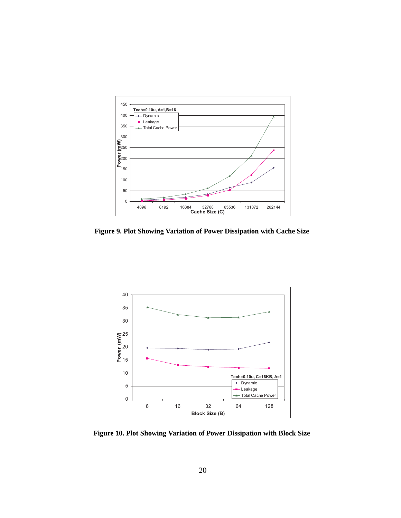

**Figure 9. Plot Showing Variation of Power Dissipation with Cache Size**



**Figure 10. Plot Showing Variation of Power Dissipation with Block Size**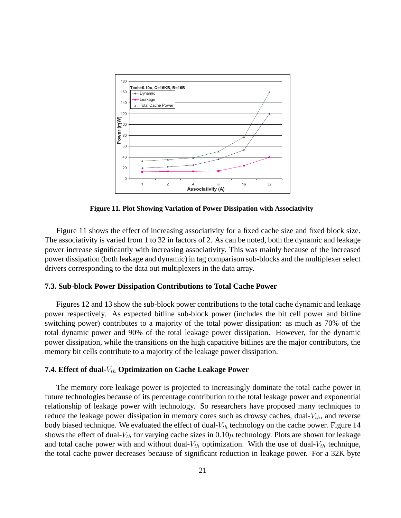

**Figure 11. Plot Showing Variation of Power Dissipation with Associativity**

Figure 11 shows the effect of increasing associativity for a fixed cache size and fixed block size. The associativity is varied from 1 to 32 in factors of 2. As can be noted, both the dynamic and leakage power increase significantly with increasing associativity. This was mainly because of the increased power dissipation (both leakage and dynamic) in tag comparison sub-blocks and the multiplexer select drivers corresponding to the data out multiplexers in the data array.

#### **7.3. Sub-block Power Dissipation Contributions to Total Cache Power**

Figures 12 and 13 show the sub-block power contributions to the total cache dynamic and leakage power respectively. As expected bitline sub-block power (includes the bit cell power and bitline switching power) contributes to a majority of the total power dissipation: as much as 70% of the total dynamic power and 90% of the total leakage power dissipation. However, for the dynamic power dissipation, while the transitions on the high capacitive bitlines are the major contributors, the memory bit cells contribute to a majority of the leakage power dissipation.

#### **7.4. Effect of dual-** $V_{th}$  **Optimization on Cache Leakage Power**

The memory core leakage power is projected to increasingly dominate the total cache power in future technologies because of its percentage contribution to the total leakage power and exponential relationship of leakage power with technology. So researchers have proposed many techniques to reduce the leakage power dissipation in memory cores such as drowsy caches, dual- $V_{th}$ , and reverse body biased technique. We evaluated the effect of dual- $V_{th}$  technology on the cache power. Figure 14 shows the effect of dual- $V_{th}$  for varying cache sizes in  $0.10\mu$  technology. Plots are shown for leakage and total cache power with and without dual- $V_{th}$  optimization. With the use of dual- $V_{th}$  technique, the total cache power decreases because of significant reduction in leakage power. For a 32K byte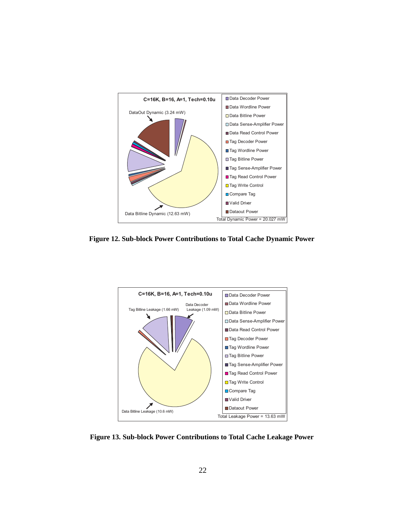

**Figure 12. Sub-block Power Contributions to Total Cache Dynamic Power**



**Figure 13. Sub-block Power Contributions to Total Cache Leakage Power**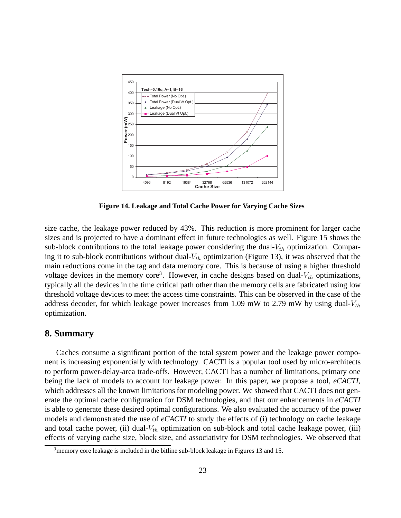

**Figure 14. Leakage and Total Cache Power for Varying Cache Sizes**

size cache, the leakage power reduced by 43%. This reduction is more prominent for larger cache sizes and is projected to have a dominant effect in future technologies as well. Figure 15 shows the sub-block contributions to the total leakage power considering the dual- $V_{th}$  optimization. Comparing it to sub-block contributions without dual- $V_{th}$  optimization (Figure 13), it was observed that the main reductions come in the tag and data memory core. This is because of using a higher threshold voltage devices in the memory core<sup>3</sup>. However, in cache designs based on dual- $V_{th}$  optimizations, typically all the devices in the time critical path other than the memory cells are fabricated using low threshold voltage devices to meet the access time constraints. This can be observed in the case of the address decoder, for which leakage power increases from 1.09 mW to 2.79 mW by using dual- $V_{th}$ optimization.

# **8. Summary**

Caches consume a significant portion of the total system power and the leakage power component is increasing exponentially with technology. CACTI is a popular tool used by micro-architects to perform power-delay-area trade-offs. However, CACTI has a number of limitations, primary one being the lack of models to account for leakage power. In this paper, we propose a tool, *eCACTI*, which addresses all the known limitations for modeling power. We showed that CACTI does not generate the optimal cache configuration for DSM technologies, and that our enhancements in *eCACTI* is able to generate these desired optimal configurations. We also evaluated the accuracy of the power models and demonstrated the use of *eCACTI* to study the effects of (i) technology on cache leakage and total cache power, (ii) dual- $V_{th}$  optimization on sub-block and total cache leakage power, (iii) effects of varying cache size, block size, and associativity for DSM technologies. We observed that

 $3$ memory core leakage is included in the bitline sub-block leakage in Figures 13 and 15.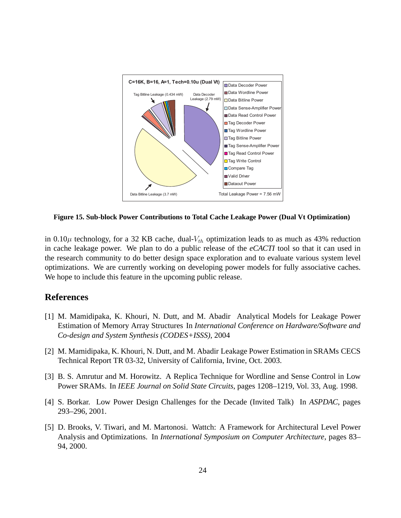

**Figure 15. Sub-block Power Contributions to Total Cache Leakage Power (Dual Vt Optimization)**

in 0.10 $\mu$  technology, for a 32 KB cache, dual- $V_{th}$  optimization leads to as much as 43% reduction in cache leakage power. We plan to do a public release of the *eCACTI* tool so that it can used in the research community to do better design space exploration and to evaluate various system level optimizations. We are currently working on developing power models for fully associative caches. We hope to include this feature in the upcoming public release.

# **References**

- [1] M. Mamidipaka, K. Khouri, N. Dutt, and M. Abadir Analytical Models for Leakage Power Estimation of Memory Array Structures In *International Conference on Hardware/Software and Co-design and System Synthesis (CODES+ISSS)*, 2004
- [2] M. Mamidipaka, K. Khouri, N. Dutt, and M. Abadir Leakage Power Estimation in SRAMs CECS Technical Report TR 03-32, University of California, Irvine, Oct. 2003.
- [3] B. S. Amrutur and M. Horowitz. A Replica Technique for Wordline and Sense Control in Low Power SRAMs. In *IEEE Journal on Solid State Circuits*, pages 1208–1219, Vol. 33, Aug. 1998.
- [4] S. Borkar. Low Power Design Challenges for the Decade (Invited Talk) In *ASPDAC*, pages 293–296, 2001.
- [5] D. Brooks, V. Tiwari, and M. Martonosi. Wattch: A Framework for Architectural Level Power Analysis and Optimizations. In *International Symposium on Computer Architecture*, pages 83– 94, 2000.